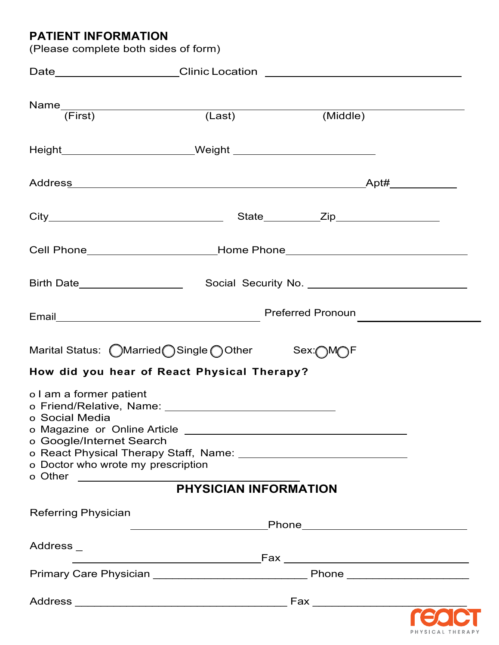# **PATIENT INFORMATION**

| (Please complete both sides of form)                                                                                                    |  |  |  |  |
|-----------------------------------------------------------------------------------------------------------------------------------------|--|--|--|--|
|                                                                                                                                         |  |  |  |  |
|                                                                                                                                         |  |  |  |  |
| Height____________________________Weight __________________________________                                                             |  |  |  |  |
|                                                                                                                                         |  |  |  |  |
|                                                                                                                                         |  |  |  |  |
| Cell Phone_____________________________Home Phone_______________________________                                                        |  |  |  |  |
| Birth Date____________________                                                                                                          |  |  |  |  |
|                                                                                                                                         |  |  |  |  |
| Marital Status: (OMarried OSingle OOther Sex: OMOF                                                                                      |  |  |  |  |
| How did you hear of React Physical Therapy?                                                                                             |  |  |  |  |
| o I am a former patient<br>o Friend/Relative, Name:<br>o Social Media<br>o Google/Internet Search<br>o Doctor who wrote my prescription |  |  |  |  |
|                                                                                                                                         |  |  |  |  |
| <b>Referring Physician</b>                                                                                                              |  |  |  |  |
| Address _                                                                                                                               |  |  |  |  |
|                                                                                                                                         |  |  |  |  |
|                                                                                                                                         |  |  |  |  |

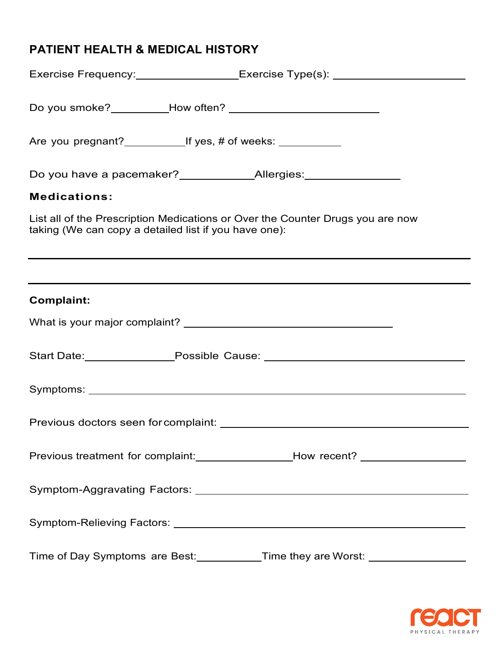| Exercise Frequency:___________________Exercise Type(s): ________________________                                                        |
|-----------------------------------------------------------------------------------------------------------------------------------------|
| Do you smoke?___________How often? _______________________________                                                                      |
|                                                                                                                                         |
| Do you have a pacemaker?_____________Allergies:_________________                                                                        |
| <b>Medications:</b>                                                                                                                     |
| List all of the Prescription Medications or Over the Counter Drugs you are now<br>taking (We can copy a detailed list if you have one): |
|                                                                                                                                         |
| <b>Complaint:</b>                                                                                                                       |
|                                                                                                                                         |
| Start Date: __________________Possible Cause: __________________________________                                                        |
|                                                                                                                                         |
|                                                                                                                                         |
| Previous treatment for complaint: _________________________How recent? _____________________________                                    |
|                                                                                                                                         |
|                                                                                                                                         |
| Time of Day Symptoms are Best: ___________Time they are Worst: _________________                                                        |

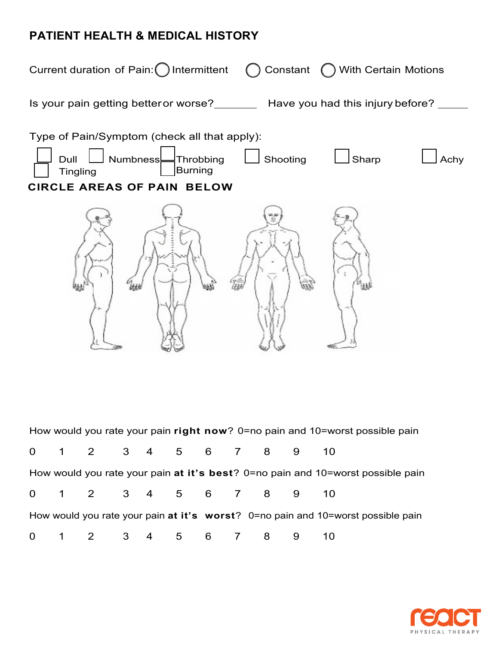

|                                                                                 |                        |  |  |  |  |  | How would you rate your pain right now? 0=no pain and 10=worst possible pain        |
|---------------------------------------------------------------------------------|------------------------|--|--|--|--|--|-------------------------------------------------------------------------------------|
|                                                                                 | 0 1 2 3 4 5 6 7 8 9 10 |  |  |  |  |  |                                                                                     |
| How would you rate your pain at it's best? 0=no pain and 10=worst possible pain |                        |  |  |  |  |  |                                                                                     |
|                                                                                 | 0 1 2 3 4 5 6 7 8 9 10 |  |  |  |  |  |                                                                                     |
|                                                                                 |                        |  |  |  |  |  | How would you rate your pain at it's worst? $0=$ no pain and 10=worst possible pain |
|                                                                                 | 0 1 2 3 4 5 6 7 8 9 10 |  |  |  |  |  |                                                                                     |

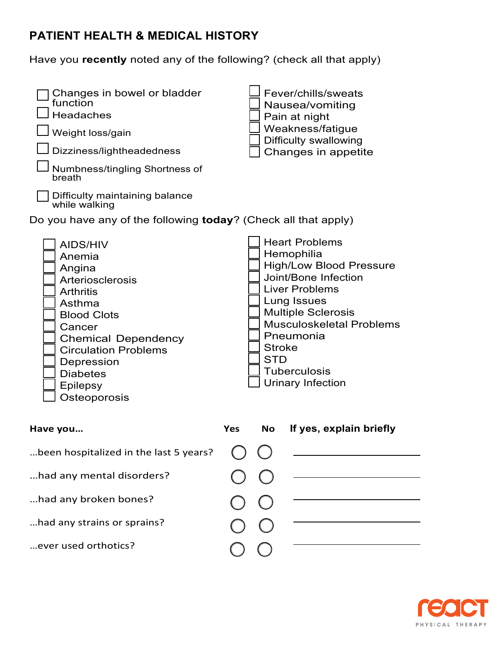Have you **recently** noted any of the following? (check all that apply)

| Changes in bowel or bladder<br>function<br><b>Headaches</b><br>Weight loss/gain<br>Dizziness/lightheadedness<br>Numbness/tingling Shortness of<br>breath<br>Difficulty maintaining balance<br>while walking<br>Do you have any of the following today? (Check all that apply) | Fever/chills/sweats<br>Nausea/vomiting<br>Pain at night<br>Weakness/fatigue<br><b>Difficulty swallowing</b><br>Changes in appetite                                                                                                                                                                   |
|-------------------------------------------------------------------------------------------------------------------------------------------------------------------------------------------------------------------------------------------------------------------------------|------------------------------------------------------------------------------------------------------------------------------------------------------------------------------------------------------------------------------------------------------------------------------------------------------|
| <b>AIDS/HIV</b><br>Anemia<br>Angina<br><b>Arteriosclerosis</b><br><b>Arthritis</b><br>Asthma<br><b>Blood Clots</b><br>Cancer<br><b>Chemical Dependency</b><br><b>Circulation Problems</b><br>Depression<br><b>Diabetes</b><br><b>Epilepsy</b><br>Osteoporosis                 | <b>Heart Problems</b><br>Hemophilia<br><b>High/Low Blood Pressure</b><br>Joint/Bone Infection<br><b>Liver Problems</b><br>Lung Issues<br><b>Multiple Sclerosis</b><br><b>Musculoskeletal Problems</b><br>Pneumonia<br><b>Stroke</b><br><b>STD</b><br><b>Tuberculosis</b><br><b>Urinary Infection</b> |
| Have you                                                                                                                                                                                                                                                                      | If yes, explain briefly<br><b>No</b><br><b>Yes</b>                                                                                                                                                                                                                                                   |
| been hospitalized in the last 5 years?                                                                                                                                                                                                                                        |                                                                                                                                                                                                                                                                                                      |
| had any mental disorders?                                                                                                                                                                                                                                                     |                                                                                                                                                                                                                                                                                                      |
| had any broken bones?                                                                                                                                                                                                                                                         |                                                                                                                                                                                                                                                                                                      |
| had any strains or sprains?                                                                                                                                                                                                                                                   |                                                                                                                                                                                                                                                                                                      |
| ever used orthotics?                                                                                                                                                                                                                                                          |                                                                                                                                                                                                                                                                                                      |
|                                                                                                                                                                                                                                                                               |                                                                                                                                                                                                                                                                                                      |

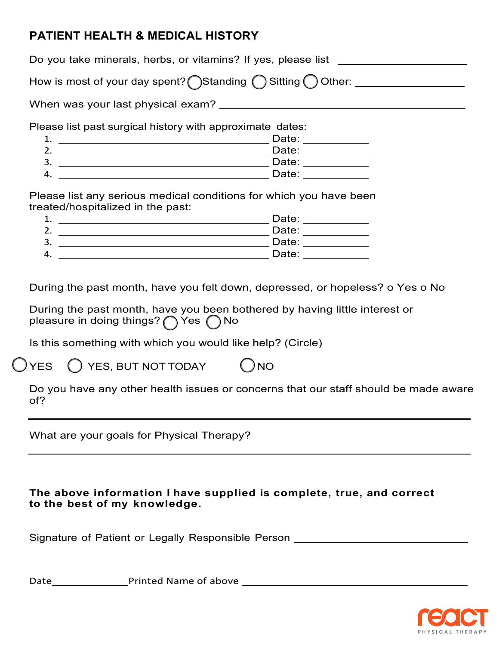|                                                           | Do you take minerals, herbs, or vitamins? If yes, please list ____                 |
|-----------------------------------------------------------|------------------------------------------------------------------------------------|
|                                                           | How is most of your day spent? Standing $\bigcap$ Sitting $\bigcap$ Other: _______ |
| When was your last physical exam?                         |                                                                                    |
| Please list past surgical history with approximate dates: |                                                                                    |
|                                                           | Date:                                                                              |
| 2.                                                        | Date:                                                                              |
| 3.                                                        | Date:                                                                              |

Please list any serious medical conditions for which you have been treated/hospitalized in the past:

4. Date:

| ٠<br>ᅩ             | Date: |
|--------------------|-------|
| ◠<br>$\mathcal{L}$ | Date: |
| 3 <sub>o</sub>     | Date: |
| 4.                 | Date: |
|                    |       |

During the past month, have you felt down, depressed, or hopeless? o Yes o No

During the past month, have you been bothered by having little interest or pleasure in doing things?  $\bigcap$  Yes  $\bigcap$  No

Is this something with which you would like help? (Circle)

YES () YES, BUT NOT TODAY () NO

Do you have any other health issues or concerns that our staff should be made aware of?

What are your goals for Physical Therapy?

## **The above information I have supplied is complete, true, and correct to the best of my knowledge.**

Signature of Patient or Legally Responsible Person \_\_\_\_\_\_\_\_\_\_\_\_\_\_\_\_\_\_\_\_\_\_\_\_\_\_\_\_\_

Date Printed Name of above

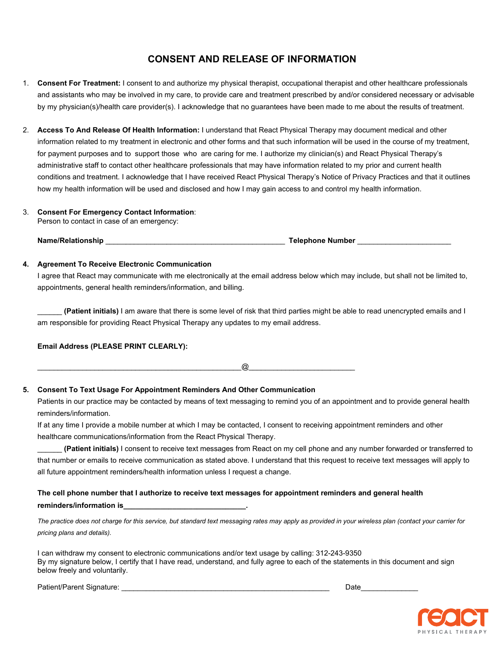## **CONSENT AND RELEASE OF INFORMATION**

- 1. **Consent For Treatment:** I consent to and authorize my physical therapist, occupational therapist and other healthcare professionals and assistants who may be involved in my care, to provide care and treatment prescribed by and/or considered necessary or advisable by my physician(s)/health care provider(s). I acknowledge that no guarantees have been made to me about the results of treatment.
- 2. **Access To And Release Of Health Information:** I understand that React Physical Therapy may document medical and other information related to my treatment in electronic and other forms and that such information will be used in the course of my treatment, for payment purposes and to support those who are caring for me. I authorize my clinician(s) and React Physical Therapy's administrative staff to contact other healthcare professionals that may have information related to my prior and current health conditions and treatment. I acknowledge that I have received React Physical Therapy's Notice of Privacy Practices and that it outlines how my health information will be used and disclosed and how I may gain access to and control my health information.

#### 3. **Consent For Emergency Contact Information**:

Person to contact in case of an emergency:

**Name/Relationship** \_\_\_\_\_\_\_\_\_\_\_\_\_\_\_\_\_\_\_\_\_\_\_\_\_\_\_\_\_\_\_\_\_\_\_\_\_\_\_\_\_\_\_\_ **Telephone Number** \_\_\_\_\_\_\_\_\_\_\_\_\_\_\_\_\_\_\_\_\_\_\_

#### **4. Agreement To Receive Electronic Communication**

I agree that React may communicate with me electronically at the email address below which may include, but shall not be limited to, appointments, general health reminders/information, and billing.

\_\_\_\_\_\_ **(Patient initials)** I am aware that there is some level of risk that third parties might be able to read unencrypted emails and I am responsible for providing React Physical Therapy any updates to my email address.

#### **Email Address (PLEASE PRINT CLEARLY):**

\_\_\_\_\_\_\_\_\_\_\_\_\_\_\_\_\_\_\_\_\_\_\_\_\_\_\_\_\_\_\_\_\_\_\_\_\_\_\_\_\_\_\_\_\_\_\_\_\_\_@\_\_\_\_\_\_\_\_\_\_\_\_\_\_\_\_\_\_\_\_\_\_\_\_\_\_

#### **5. Consent To Text Usage For Appointment Reminders And Other Communication**

Patients in our practice may be contacted by means of text messaging to remind you of an appointment and to provide general health reminders/information.

If at any time I provide a mobile number at which I may be contacted, I consent to receiving appointment reminders and other healthcare communications/information from the React Physical Therapy.

\_\_\_\_\_\_ **(Patient initials)** I consent to receive text messages from React on my cell phone and any number forwarded or transferred to that number or emails to receive communication as stated above. I understand that this request to receive text messages will apply to all future appointment reminders/health information unless I request a change.

### **The cell phone number that I authorize to receive text messages for appointment reminders and general health reminders/information is\_\_\_\_\_\_\_\_\_\_\_\_\_\_\_\_\_\_\_\_\_\_\_\_\_\_\_\_\_\_.**

*The practice does not charge for this service, but standard text messaging rates may apply as provided in your wireless plan (contact your carrier for pricing plans and details).*

I can withdraw my consent to electronic communications and/or text usage by calling: 312-243-9350 By my signature below, I certify that I have read, understand, and fully agree to each of the statements in this document and sign below freely and voluntarily.

Patient/Parent Signature: \_\_\_\_\_\_\_\_\_\_\_\_\_\_\_\_\_\_\_\_\_\_\_\_\_\_\_\_\_\_\_\_\_\_\_\_\_\_\_\_\_\_\_\_\_\_\_\_\_\_\_ Date\_\_\_\_\_\_\_\_\_\_\_\_\_\_

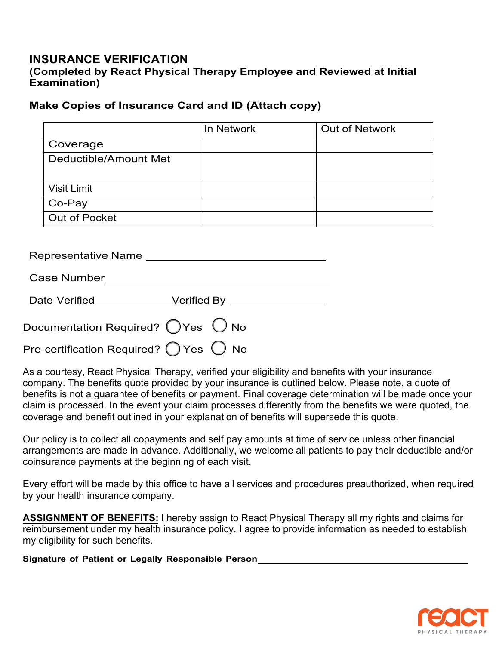# **INSURANCE VERIFICATION (Completed by React Physical Therapy Employee and Reviewed at Initial Examination)**

# **Make Copies of Insurance Card and ID (Attach copy)**

|                       | In Network | <b>Out of Network</b> |
|-----------------------|------------|-----------------------|
| Coverage              |            |                       |
| Deductible/Amount Met |            |                       |
| <b>Visit Limit</b>    |            |                       |
| Co-Pay                |            |                       |
| <b>Out of Pocket</b>  |            |                       |

Representative Name \_\_\_\_\_\_\_\_\_\_

| <b>Case Number</b> |  |  |
|--------------------|--|--|
|                    |  |  |

| Date Verified | <b>Verified By</b> |
|---------------|--------------------|
|---------------|--------------------|

| Documentation Required? $\bigcirc$ Yes $\bigcirc$ No     |  |
|----------------------------------------------------------|--|
| Pre-certification Required? $\bigcirc$ Yes $\bigcirc$ No |  |

As a courtesy, React Physical Therapy, verified your eligibility and benefits with your insurance company. The benefits quote provided by your insurance is outlined below. Please note, a quote of benefits is not a guarantee of benefits or payment. Final coverage determination will be made once your claim is processed. In the event your claim processes differently from the benefits we were quoted, the coverage and benefit outlined in your explanation of benefits will supersede this quote.

Our policy is to collect all copayments and self pay amounts at time of service unless other financial arrangements are made in advance. Additionally, we welcome all patients to pay their deductible and/or coinsurance payments at the beginning of each visit.

Every effort will be made by this office to have all services and procedures preauthorized, when required by your health insurance company.

**ASSIGNMENT OF BENEFITS:** I hereby assign to React Physical Therapy all my rights and claims for reimbursement under my health insurance policy. I agree to provide information as needed to establish my eligibility for such benefits.

**Signature of Patient or Legally Responsible Person**

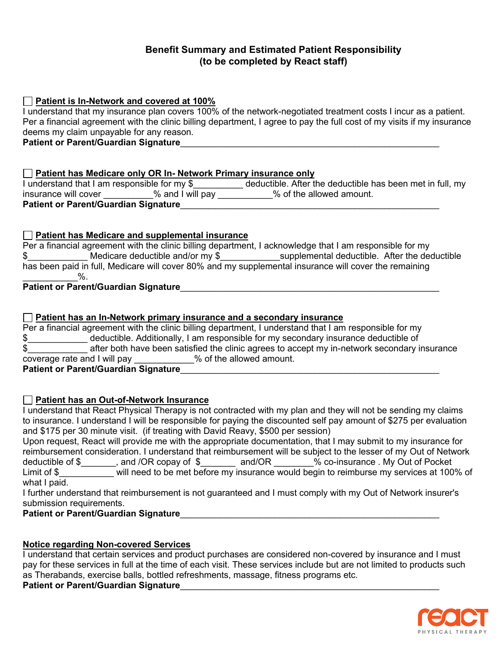## **Benefit Summary and Estimated Patient Responsibility (to be completed by React staff)**

**Patient is In-Network and covered at 100%**

I understand that my insurance plan covers 100% of the network-negotiated treatment costs I incur as a patient. Per a financial agreement with the clinic billing department, I agree to pay the full cost of my visits if my insurance deems my claim unpayable for any reason.

Patient or Parent/Guardian Signature

### **Patient has Medicare only OR In- Network Primary insurance only**

I understand that I am responsible for my \$\_\_\_\_\_\_\_\_\_\_ deductible. After the deductible has been met in full, my insurance will cover \_\_\_\_\_\_\_\_\_\_% and I will pay \_\_\_\_\_\_\_\_\_\_\_% of the allowed amount. **Patient or Parent/Guardian Signature**\_\_\_\_\_\_\_\_\_\_\_\_\_\_\_\_\_\_\_\_\_\_\_\_\_\_\_\_\_\_\_\_\_\_\_\_\_\_\_\_\_\_\_\_\_\_\_\_\_\_\_\_

## **Patient has Medicare and supplemental insurance**

| Per a financial agreement with the clinic billing department, I acknowledge that I am responsible for my |                                               |  |
|----------------------------------------------------------------------------------------------------------|-----------------------------------------------|--|
| Medicare deductible and/or my \$                                                                         | supplemental deductible. After the deductible |  |
| has been paid in full, Medicare will cover 80% and my supplemental insurance will cover the remaining    |                                               |  |
|                                                                                                          |                                               |  |
|                                                                                                          |                                               |  |

## **Patient or Parent/Guardian Signature**\_\_\_\_\_\_\_\_\_\_\_\_\_\_\_\_\_\_\_\_\_\_\_\_\_\_\_\_\_\_\_\_\_\_\_\_\_\_\_\_\_\_\_\_\_\_\_\_\_\_\_\_

### **Patient has an In-Network primary insurance and a secondary insurance**

Per a financial agreement with the clinic billing department, I understand that I am responsible for my \$\_\_\_\_\_\_\_\_\_\_\_\_ deductible. Additionally, I am responsible for my secondary insurance deductible of \$\_\_\_\_\_\_\_\_\_\_\_\_ after both have been satisfied the clinic agrees to accept my in-network secondary insurance coverage rate and I will pay \_\_\_\_\_\_\_\_\_\_\_\_% of the allowed amount. Patient or Parent/Guardian Signature

## **Patient has an Out-of-Network Insurance**

I understand that React Physical Therapy is not contracted with my plan and they will not be sending my claims to insurance. I understand I will be responsible for paying the discounted self pay amount of \$275 per evaluation and \$175 per 30 minute visit. (if treating with David Reavy, \$500 per session)

Upon request, React will provide me with the appropriate documentation, that I may submit to my insurance for reimbursement consideration. I understand that reimbursement will be subject to the lesser of my Out of Network deductible of \$\_\_\_\_\_\_, and /OR copay of \$ and/OR  $\frac{3}{2}$  oo-insurance . My Out of Pocket Limit of \$<br>Limit of \$ will need to be met before my insurance would begin to reimburse my services at 100% of what I paid.

I further understand that reimbursement is not guaranteed and I must comply with my Out of Network insurer's submission requirements.

# **Patient or Parent/Guardian Signature**\_\_\_\_\_\_\_\_\_\_\_\_\_\_\_\_\_\_\_\_\_\_\_\_\_\_\_\_\_\_\_\_\_\_\_\_\_\_\_\_\_\_\_\_\_\_\_\_\_\_\_\_

## **Notice regarding Non-covered Services**

I understand that certain services and product purchases are considered non-covered by insurance and I must pay for these services in full at the time of each visit. These services include but are not limited to products such as Therabands, exercise balls, bottled refreshments, massage, fitness programs etc.

**Patient or Parent/Guardian Signature** 

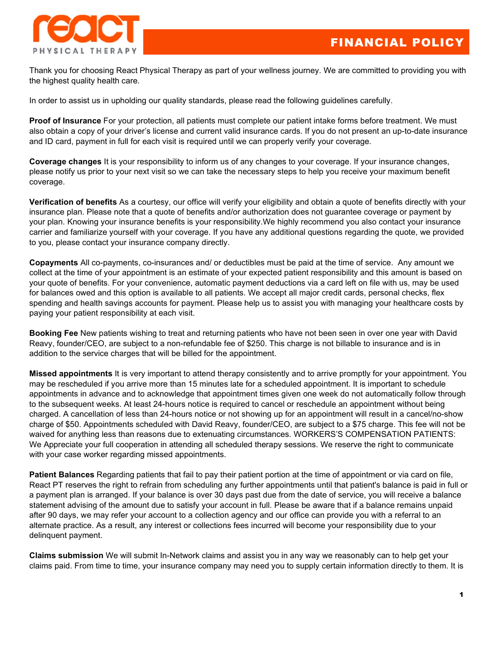

Thank you for choosing React Physical Therapy as part of your wellness journey. We are committed to providing you with the highest quality health care.

In order to assist us in upholding our quality standards, please read the following guidelines carefully.

**Proof of Insurance** For your protection, all patients must complete our patient intake forms before treatment. We must also obtain a copy of your driver's license and current valid insurance cards. If you do not present an up-to-date insurance and ID card, payment in full for each visit is required until we can properly verify your coverage.

**Coverage changes** It is your responsibility to inform us of any changes to your coverage. If your insurance changes, please notify us prior to your next visit so we can take the necessary steps to help you receive your maximum benefit coverage.

**Verification of benefits** As a courtesy, our office will verify your eligibility and obtain a quote of benefits directly with your insurance plan. Please note that a quote of benefits and/or authorization does not guarantee coverage or payment by your plan. Knowing your insurance benefits is your responsibility.We highly recommend you also contact your insurance carrier and familiarize yourself with your coverage. If you have any additional questions regarding the quote, we provided to you, please contact your insurance company directly.

**Copayments** All co-payments, co-insurances and/ or deductibles must be paid at the time of service. Any amount we collect at the time of your appointment is an estimate of your expected patient responsibility and this amount is based on your quote of benefits. For your convenience, automatic payment deductions via a card left on file with us, may be used for balances owed and this option is available to all patients. We accept all major credit cards, personal checks, flex spending and health savings accounts for payment. Please help us to assist you with managing your healthcare costs by paying your patient responsibility at each visit.

**Booking Fee** New patients wishing to treat and returning patients who have not been seen in over one year with David Reavy, founder/CEO, are subject to a non-refundable fee of \$250. This charge is not billable to insurance and is in addition to the service charges that will be billed for the appointment.

**Missed appointments** It is very important to attend therapy consistently and to arrive promptly for your appointment. You may be rescheduled if you arrive more than 15 minutes late for a scheduled appointment. It is important to schedule appointments in advance and to acknowledge that appointment times given one week do not automatically follow through to the subsequent weeks. At least 24-hours notice is required to cancel or reschedule an appointment without being charged. A cancellation of less than 24-hours notice or not showing up for an appointment will result in a cancel/no-show charge of \$50. Appointments scheduled with David Reavy, founder/CEO, are subject to a \$75 charge. This fee will not be waived for anything less than reasons due to extenuating circumstances. WORKERS'S COMPENSATION PATIENTS: We Appreciate your full cooperation in attending all scheduled therapy sessions. We reserve the right to communicate with your case worker regarding missed appointments.

**Patient Balances** Regarding patients that fail to pay their patient portion at the time of appointment or via card on file, React PT reserves the right to refrain from scheduling any further appointments until that patient's balance is paid in full or a payment plan is arranged. If your balance is over 30 days past due from the date of service, you will receive a balance statement advising of the amount due to satisfy your account in full. Please be aware that if a balance remains unpaid after 90 days, we may refer your account to a collection agency and our office can provide you with a referral to an alternate practice. As a result, any interest or collections fees incurred will become your responsibility due to your delinquent payment.

**Claims submission** We will submit In-Network claims and assist you in any way we reasonably can to help get your claims paid. From time to time, your insurance company may need you to supply certain information directly to them. It is